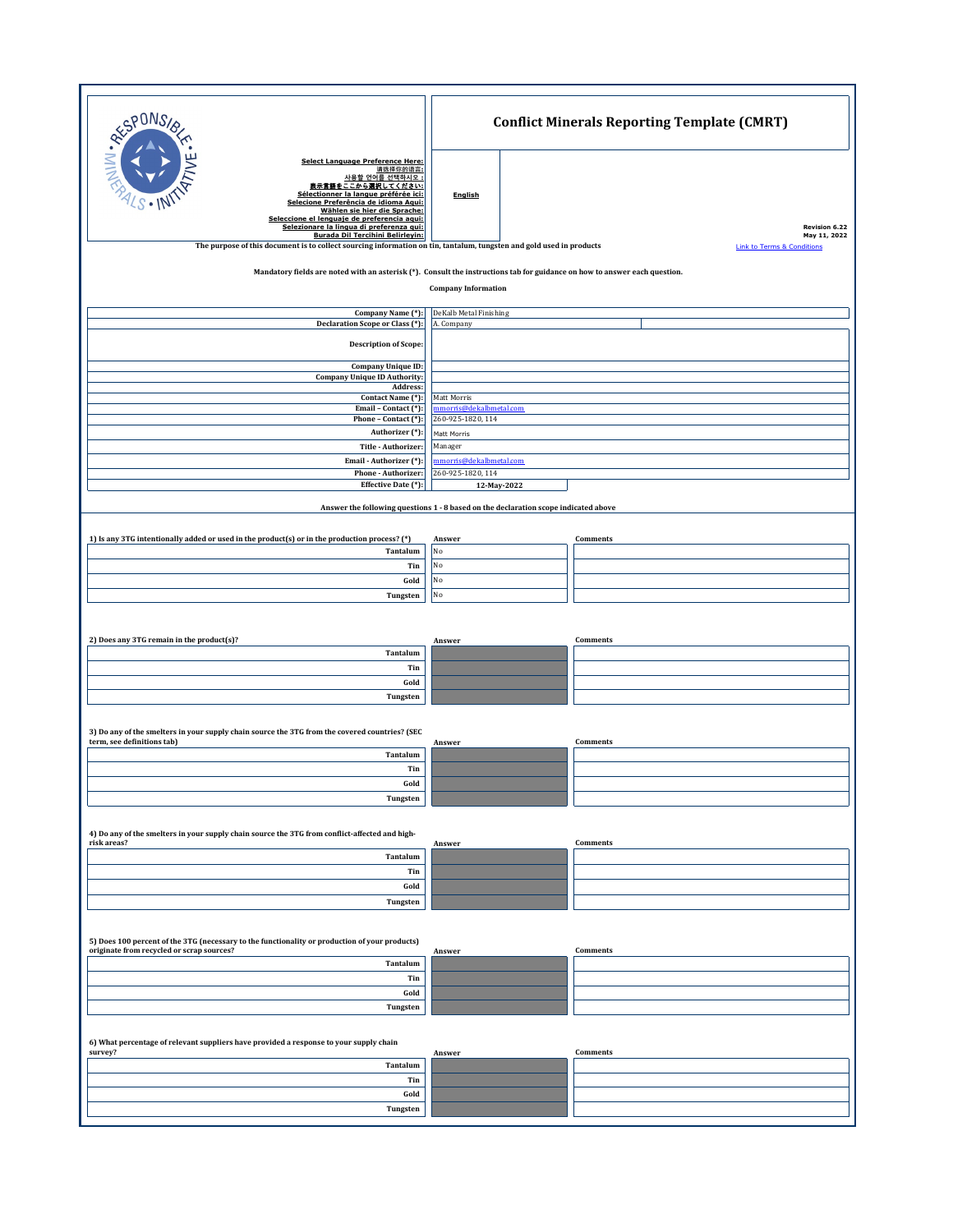| <b>RESPONS</b>                                                                                                                                                                                                                                                                                                       | <b>Conflict Minerals Reporting Template (CMRT)</b> |                                                       |  |  |
|----------------------------------------------------------------------------------------------------------------------------------------------------------------------------------------------------------------------------------------------------------------------------------------------------------------------|----------------------------------------------------|-------------------------------------------------------|--|--|
| <b>Select Language Preference Here:</b><br>请选择你的语言:<br>사용할 언어를 선택하시오 :<br><u>: から濃択してください:</u><br>表示言语をこ<br>Sélectionner la langue préférée ici:<br>Selecione Preferência de idioma Aqui:<br>Wählen sie hier die Sprache:<br>Seleccione el lenguaje de preferencia aqui:<br>Selezionare la lingua di preferenza qui: | <b>English</b>                                     | <b>Revision 6.22</b>                                  |  |  |
| Burada Dil Tercihini Belirleyin:<br>The purpose of this document is to collect sourcing information on tin, tantalum, tungsten and gold used in products                                                                                                                                                             |                                                    | May 11, 2022<br><b>Link to Terms &amp; Conditions</b> |  |  |
|                                                                                                                                                                                                                                                                                                                      |                                                    |                                                       |  |  |
| Mandatory fields are noted with an asterisk (*). Consult the instructions tab for guidance on how to answer each question.                                                                                                                                                                                           |                                                    |                                                       |  |  |
| <b>Company Information</b>                                                                                                                                                                                                                                                                                           |                                                    |                                                       |  |  |
| Company Name (*):                                                                                                                                                                                                                                                                                                    | DeKalb Metal Finishing                             |                                                       |  |  |
| Declaration Scope or Class (*):                                                                                                                                                                                                                                                                                      | A. Company                                         |                                                       |  |  |
| <b>Description of Scope:</b>                                                                                                                                                                                                                                                                                         |                                                    |                                                       |  |  |
| Company Unique ID:                                                                                                                                                                                                                                                                                                   |                                                    |                                                       |  |  |
| <b>Company Unique ID Authority:</b><br>Address:                                                                                                                                                                                                                                                                      |                                                    |                                                       |  |  |
| Contact Name (*):                                                                                                                                                                                                                                                                                                    | Matt Morris                                        |                                                       |  |  |
| Email - Contact (*):<br>Phone - Contact (*):                                                                                                                                                                                                                                                                         | nmorris@dekalbmetal.com<br>260-925-1820, 114       |                                                       |  |  |
| Authorizer (*):                                                                                                                                                                                                                                                                                                      | Matt Morris                                        |                                                       |  |  |
| Title - Authorizer:                                                                                                                                                                                                                                                                                                  | Manager                                            |                                                       |  |  |
| Email - Authorizer (*):<br>Phone - Authorizer:                                                                                                                                                                                                                                                                       | nmorris@dekalbmetal.com<br>260-925-1820, 114       |                                                       |  |  |
| Effective Date (*):                                                                                                                                                                                                                                                                                                  | 12-May-2022                                        |                                                       |  |  |
| Answer the following questions 1 - 8 based on the declaration scope indicated above                                                                                                                                                                                                                                  |                                                    |                                                       |  |  |
|                                                                                                                                                                                                                                                                                                                      |                                                    |                                                       |  |  |
| 1) Is any 3TG intentionally added or used in the product(s) or in the production process? (*)                                                                                                                                                                                                                        | Answer                                             | Comments                                              |  |  |
| Tantalum                                                                                                                                                                                                                                                                                                             | No                                                 |                                                       |  |  |
| Tin<br>Gold                                                                                                                                                                                                                                                                                                          | No<br>No                                           |                                                       |  |  |
| Tungsten                                                                                                                                                                                                                                                                                                             | No                                                 |                                                       |  |  |
|                                                                                                                                                                                                                                                                                                                      |                                                    |                                                       |  |  |
|                                                                                                                                                                                                                                                                                                                      |                                                    |                                                       |  |  |
| 2) Does any 3TG remain in the product(s)?                                                                                                                                                                                                                                                                            | Answer                                             | Comments                                              |  |  |
| Tantalum<br>Tin                                                                                                                                                                                                                                                                                                      |                                                    |                                                       |  |  |
| Gold                                                                                                                                                                                                                                                                                                                 |                                                    |                                                       |  |  |
| Tungsten                                                                                                                                                                                                                                                                                                             |                                                    |                                                       |  |  |
|                                                                                                                                                                                                                                                                                                                      |                                                    |                                                       |  |  |
| 3) Do any of the smelters in your supply chain source the 3TG from the covered countries? (SEC                                                                                                                                                                                                                       |                                                    |                                                       |  |  |
| term, see definitions tab)<br>Tantalum                                                                                                                                                                                                                                                                               | Answer                                             | Comments                                              |  |  |
| Tin                                                                                                                                                                                                                                                                                                                  |                                                    |                                                       |  |  |
| Gold                                                                                                                                                                                                                                                                                                                 |                                                    |                                                       |  |  |
| Tungsten                                                                                                                                                                                                                                                                                                             |                                                    |                                                       |  |  |
|                                                                                                                                                                                                                                                                                                                      |                                                    |                                                       |  |  |
| 4) Do any of the smelters in your supply chain source the 3TG from conflict-affected and high-<br>risk areas?                                                                                                                                                                                                        | Answer                                             | Comments                                              |  |  |
| Tantalum                                                                                                                                                                                                                                                                                                             |                                                    |                                                       |  |  |
| Tin                                                                                                                                                                                                                                                                                                                  |                                                    |                                                       |  |  |
| Gold                                                                                                                                                                                                                                                                                                                 |                                                    |                                                       |  |  |
| Tungsten                                                                                                                                                                                                                                                                                                             |                                                    |                                                       |  |  |
|                                                                                                                                                                                                                                                                                                                      |                                                    |                                                       |  |  |
| 5) Does 100 percent of the 3TG (necessary to the functionality or production of your products)<br>originate from recycled or scrap sources?                                                                                                                                                                          | Answer                                             | Comments                                              |  |  |
| Tantalum                                                                                                                                                                                                                                                                                                             |                                                    |                                                       |  |  |
| Tin                                                                                                                                                                                                                                                                                                                  |                                                    |                                                       |  |  |
| Gold                                                                                                                                                                                                                                                                                                                 |                                                    |                                                       |  |  |
| Tungsten                                                                                                                                                                                                                                                                                                             |                                                    |                                                       |  |  |
|                                                                                                                                                                                                                                                                                                                      |                                                    |                                                       |  |  |
| 6) What percentage of relevant suppliers have provided a response to your supply chain<br>survey?                                                                                                                                                                                                                    | Answer                                             | Comments                                              |  |  |
| Tantalum                                                                                                                                                                                                                                                                                                             |                                                    |                                                       |  |  |
| Tin                                                                                                                                                                                                                                                                                                                  |                                                    |                                                       |  |  |
| Gold                                                                                                                                                                                                                                                                                                                 |                                                    |                                                       |  |  |
| Tungsten                                                                                                                                                                                                                                                                                                             |                                                    |                                                       |  |  |